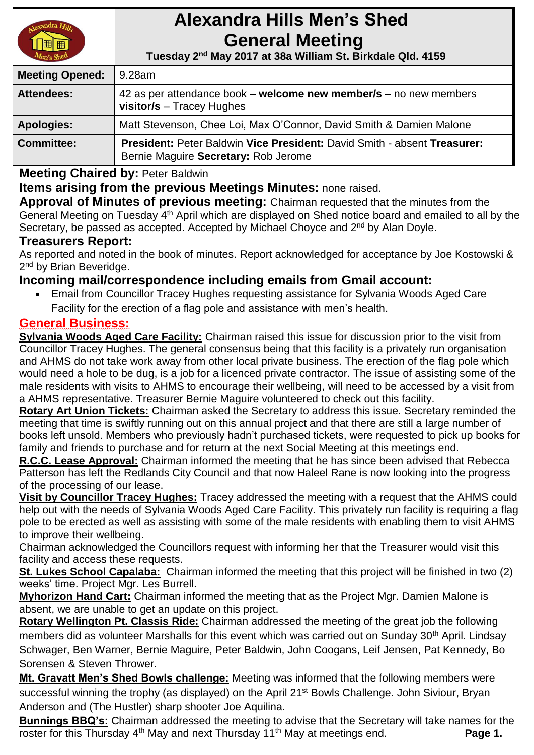

# **Alexandra Hills Men's Shed General Meeting**

 **Tuesday 2 nd May 2017 at 38a William St. Birkdale Qld. 4159** 

| <b>Meeting Opened:</b> | l 9.28am                                                                                                         |  |
|------------------------|------------------------------------------------------------------------------------------------------------------|--|
| <b>Attendees:</b>      | 42 as per attendance book – welcome new member/s – no new members<br>visitor/s $-$ Tracey Hughes                 |  |
| <b>Apologies:</b>      | Matt Stevenson, Chee Loi, Max O'Connor, David Smith & Damien Malone                                              |  |
| <b>Committee:</b>      | President: Peter Baldwin Vice President: David Smith - absent Treasurer:<br>Bernie Maguire Secretary: Rob Jerome |  |

**Meeting Chaired by:** Peter Baldwin

## **Items arising from the previous Meetings Minutes:** none raised.

**Approval of Minutes of previous meeting:** Chairman requested that the minutes from the General Meeting on Tuesday 4<sup>th</sup> April which are displayed on Shed notice board and emailed to all by the Secretary, be passed as accepted. Accepted by Michael Choyce and 2<sup>nd</sup> by Alan Doyle.

#### **Treasurers Report:**

As reported and noted in the book of minutes. Report acknowledged for acceptance by Joe Kostowski & 2<sup>nd</sup> by Brian Beveridge.

## **Incoming mail/correspondence including emails from Gmail account:**

 Email from Councillor Tracey Hughes requesting assistance for Sylvania Woods Aged Care Facility for the erection of a flag pole and assistance with men's health.

## **General Business:**

**Sylvania Woods Aged Care Facility:** Chairman raised this issue for discussion prior to the visit from Councillor Tracey Hughes. The general consensus being that this facility is a privately run organisation and AHMS do not take work away from other local private business. The erection of the flag pole which would need a hole to be dug, is a job for a licenced private contractor. The issue of assisting some of the male residents with visits to AHMS to encourage their wellbeing, will need to be accessed by a visit from a AHMS representative. Treasurer Bernie Maguire volunteered to check out this facility.

**Rotary Art Union Tickets:** Chairman asked the Secretary to address this issue. Secretary reminded the meeting that time is swiftly running out on this annual project and that there are still a large number of books left unsold. Members who previously hadn't purchased tickets, were requested to pick up books for family and friends to purchase and for return at the next Social Meeting at this meetings end.

**R.C.C. Lease Approval:** Chairman informed the meeting that he has since been advised that Rebecca Patterson has left the Redlands City Council and that now Haleel Rane is now looking into the progress of the processing of our lease.

**Visit by Councillor Tracey Hughes:** Tracey addressed the meeting with a request that the AHMS could help out with the needs of Sylvania Woods Aged Care Facility. This privately run facility is requiring a flag pole to be erected as well as assisting with some of the male residents with enabling them to visit AHMS to improve their wellbeing.

Chairman acknowledged the Councillors request with informing her that the Treasurer would visit this facility and access these requests.

**St. Lukes School Capalaba:** Chairman informed the meeting that this project will be finished in two (2) weeks' time. Project Mgr. Les Burrell.

**Myhorizon Hand Cart:** Chairman informed the meeting that as the Project Mgr. Damien Malone is absent, we are unable to get an update on this project.

**Rotary Wellington Pt. Classis Ride:** Chairman addressed the meeting of the great job the following members did as volunteer Marshalls for this event which was carried out on Sunday 30<sup>th</sup> April. Lindsay Schwager, Ben Warner, Bernie Maguire, Peter Baldwin, John Coogans, Leif Jensen, Pat Kennedy, Bo Sorensen & Steven Thrower.

**Mt. Gravatt Men's Shed Bowls challenge:** Meeting was informed that the following members were successful winning the trophy (as displayed) on the April 21<sup>st</sup> Bowls Challenge. John Siviour, Bryan Anderson and (The Hustler) sharp shooter Joe Aquilina.

**Bunnings BBQ's:** Chairman addressed the meeting to advise that the Secretary will take names for the roster for this Thursday 4<sup>th</sup> May and next Thursday 11<sup>th</sup> May at meetings end. **Page 1.**